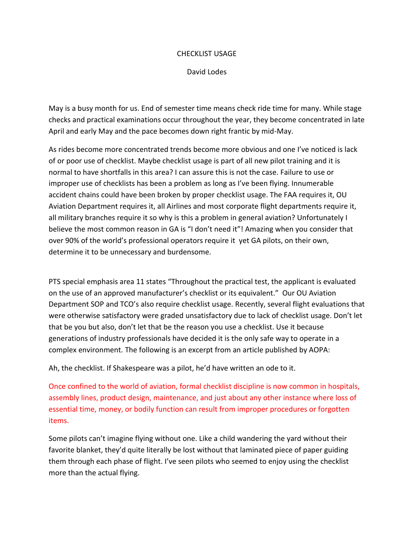## CHECKLIST USAGE

## David Lodes

May is a busy month for us. End of semester time means check ride time for many. While stage checks and practical examinations occur throughout the year, they become concentrated in late April and early May and the pace becomes down right frantic by mid-May.

As rides become more concentrated trends become more obvious and one I've noticed is lack of or poor use of checklist. Maybe checklist usage is part of all new pilot training and it is normal to have shortfalls in this area? I can assure this is not the case. Failure to use or improper use of checklists has been a problem as long as I've been flying. Innumerable accident chains could have been broken by proper checklist usage. The FAA requires it, OU Aviation Department requires it, all Airlines and most corporate flight departments require it, all military branches require it so why is this a problem in general aviation? Unfortunately I believe the most common reason in GA is "I don't need it"! Amazing when you consider that over 90% of the world's professional operators require it yet GA pilots, on their own, determine it to be unnecessary and burdensome.

PTS special emphasis area 11 states "Throughout the practical test, the applicant is evaluated on the use of an approved manufacturer's checklist or its equivalent." Our OU Aviation Department SOP and TCO's also require checklist usage. Recently, several flight evaluations that were otherwise satisfactory were graded unsatisfactory due to lack of checklist usage. Don't let that be you but also, don't let that be the reason you use a checklist. Use it because generations of industry professionals have decided it is the only safe way to operate in a complex environment. The following is an excerpt from an article published by AOPA:

Ah, the checklist. If Shakespeare was a pilot, he'd have written an ode to it.

Once confined to the world of aviation, formal checklist discipline is now common in hospitals, assembly lines, product design, maintenance, and just about any other instance where loss of essential time, money, or bodily function can result from improper procedures or forgotten items.

Some pilots can't imagine flying without one. Like a child wandering the yard without their favorite blanket, they'd quite literally be lost without that laminated piece of paper guiding them through each phase of flight. I've seen pilots who seemed to enjoy using the checklist more than the actual flying.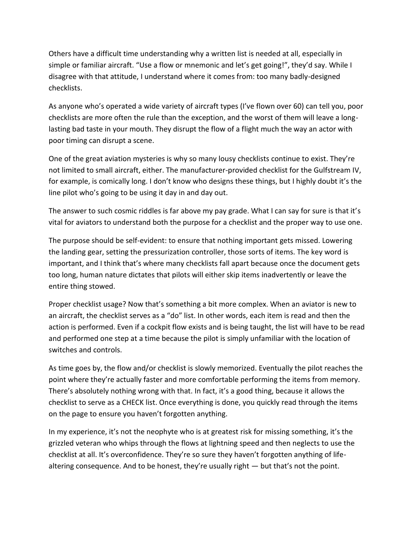Others have a difficult time understanding why a written list is needed at all, especially in simple or familiar aircraft. "Use a flow or mnemonic and let's get going!", they'd say. While I disagree with that attitude, I understand where it comes from: too many badly-designed checklists.

As anyone who's operated a wide variety of aircraft types (I've flown over 60) can tell you, poor checklists are more often the rule than the exception, and the worst of them will leave a longlasting bad taste in your mouth. They disrupt the flow of a flight much the way an actor with poor timing can disrupt a scene.

One of the great aviation mysteries is why so many lousy checklists continue to exist. They're not limited to small aircraft, either. The manufacturer-provided checklist for the Gulfstream IV, for example, is comically long. I don't know who designs these things, but I highly doubt it's the line pilot who's going to be using it day in and day out.

The answer to such cosmic riddles is far above my pay grade. What I can say for sure is that it's vital for aviators to understand both the purpose for a checklist and the proper way to use one.

The purpose should be self-evident: to ensure that nothing important gets missed. Lowering the landing gear, setting the pressurization controller, those sorts of items. The key word is important, and I think that's where many checklists fall apart because once the document gets too long, human nature dictates that pilots will either skip items inadvertently or leave the entire thing stowed.

Proper checklist usage? Now that's something a bit more complex. When an aviator is new to an aircraft, the checklist serves as a "do" list. In other words, each item is read and then the action is performed. Even if a cockpit flow exists and is being taught, the list will have to be read and performed one step at a time because the pilot is simply unfamiliar with the location of switches and controls.

As time goes by, the flow and/or checklist is slowly memorized. Eventually the pilot reaches the point where they're actually faster and more comfortable performing the items from memory. There's absolutely nothing wrong with that. In fact, it's a good thing, because it allows the checklist to serve as a CHECK list. Once everything is done, you quickly read through the items on the page to ensure you haven't forgotten anything.

In my experience, it's not the neophyte who is at greatest risk for missing something, it's the grizzled veteran who whips through the flows at lightning speed and then neglects to use the checklist at all. It's overconfidence. They're so sure they haven't forgotten anything of lifealtering consequence. And to be honest, they're usually right — but that's not the point.